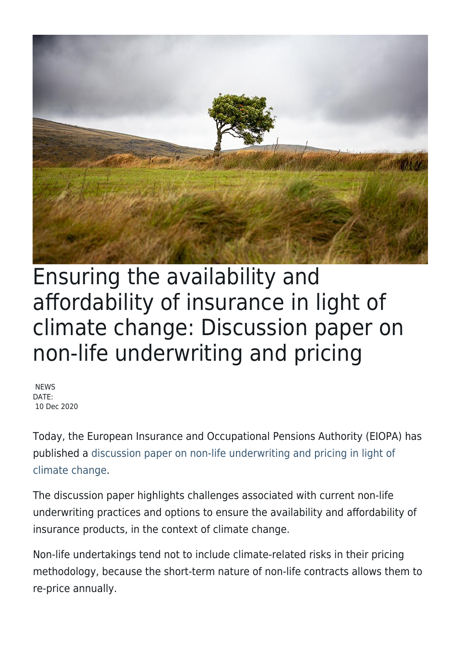

## Ensuring the availability and affordability of insurance in light of climate change: Discussion paper on non-life underwriting and pricing

**NEWS** DATE: 10 Dec 2020

Today, the European Insurance and Occupational Pensions Authority (EIOPA) has published [a discussion paper on non-life underwriting and pricing in light of](https://www.eiopa.europa.eu/content/discussion-paper-non-life-underwriting-and-pricing-light-climate-change_en) [climate change.](https://www.eiopa.europa.eu/content/discussion-paper-non-life-underwriting-and-pricing-light-climate-change_en)

The discussion paper highlights challenges associated with current non-life underwriting practices and options to ensure the availability and affordability of insurance products, in the context of climate change.

Non-life undertakings tend not to include climate-related risks in their pricing methodology, because the short-term nature of non-life contracts allows them to re-price annually.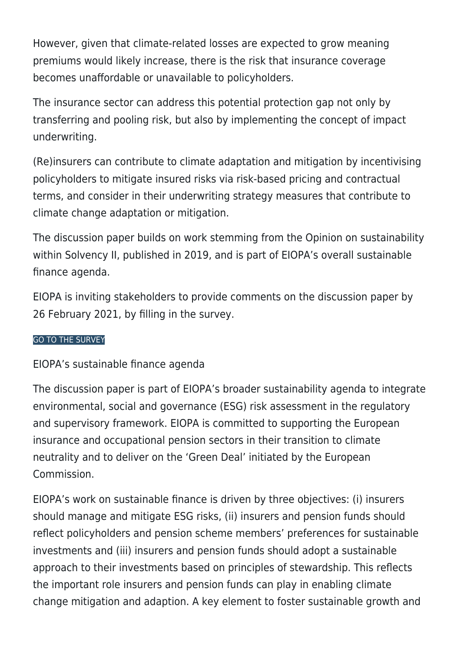However, given that climate-related losses are expected to grow meaning premiums would likely increase, there is the risk that insurance coverage becomes unaffordable or unavailable to policyholders.

The insurance sector can address this potential protection gap not only by transferring and pooling risk, but also by implementing the concept of impact underwriting.

(Re)insurers can contribute to climate adaptation and mitigation by incentivising policyholders to mitigate insured risks via risk-based pricing and contractual terms, and consider in their underwriting strategy measures that contribute to climate change adaptation or mitigation.

The discussion paper builds on work stemming from the Opinion on sustainability within Solvency II, published in 2019, and is part of EIOPA's overall sustainable finance agenda.

EIOPA is inviting stakeholders to provide comments on the discussion paper by 26 February 2021, by filling in the survey.

## [GO TO THE SURVEY](https://ec.europa.eu/eusurvey/runner/a6c86b61-f733-8bf6-6e74-d2217927a2ca)

## EIOPA's sustainable finance agenda

The discussion paper is part of EIOPA's broader sustainability agenda to integrate environmental, social and governance (ESG) risk assessment in the regulatory and supervisory framework. EIOPA is committed to supporting the European insurance and occupational pension sectors in their transition to climate neutrality and to deliver on the 'Green Deal' initiated by the European Commission.

EIOPA's work on sustainable finance is driven by three objectives: (i) insurers should manage and mitigate ESG risks, (ii) insurers and pension funds should reflect policyholders and pension scheme members' preferences for sustainable investments and (iii) insurers and pension funds should adopt a sustainable approach to their investments based on principles of stewardship. This reflects the important role insurers and pension funds can play in enabling climate change mitigation and adaption. A key element to foster sustainable growth and